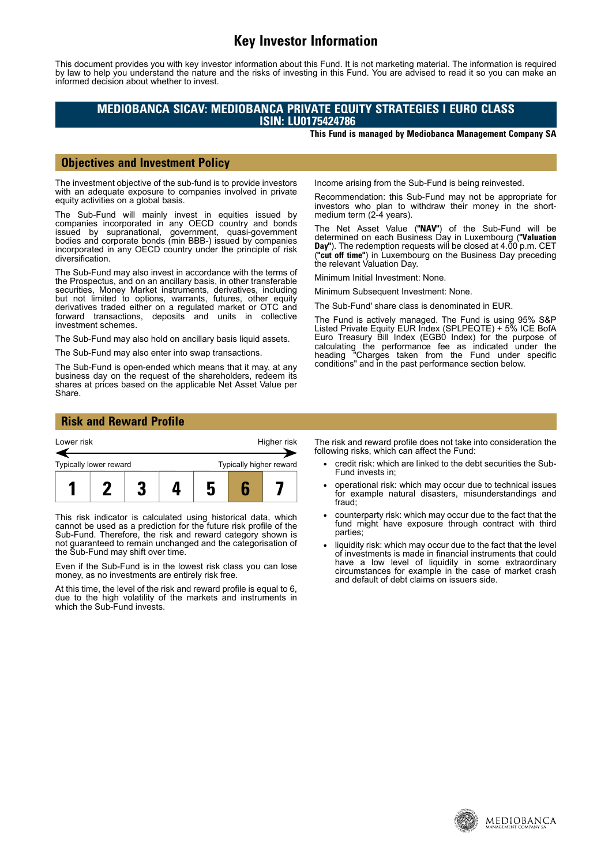# **Key Investor Information**

This document provides you with key investor information about this Fund. It is not marketing material. The information is required by law to help you understand the nature and the risks of investing in this Fund. You are advised to read it so you can make an informed decision about whether to invest.

# **MEDIOBANCA SICAV: MEDIOBANCA PRIVATE EQUITY STRATEGIES I EURO CLASS ISIN: LU0175424786**

**This Fund is managed by Mediobanca Management Company SA**

### **Objectives and Investment Policy**

The investment objective of the sub-fund is to provide investors with an adequate exposure to companies involved in private equity activities on a global basis.

The Sub-Fund will mainly invest in equities issued by companies incorporated in any OECD country and bonds issued by supranational, government, quasi-government bodies and corporate bonds (min BBB-) issued by companies incorporated in any OECD country under the principle of risk diversification.

The Sub-Fund may also invest in accordance with the terms of the Prospectus, and on an ancillary basis, in other transferable securities, Money Market instruments, derivatives, including but not limited to options, warrants, futures, other equity derivatives traded either on a regulated market or OTC and forward transactions, deposits and units in collective investment schemes.

The Sub-Fund may also hold on ancillary basis liquid assets.

The Sub-Fund may also enter into swap transactions.

The Sub-Fund is open-ended which means that it may, at any business day on the request of the shareholders, redeem its shares at prices based on the applicable Net Asset Value per Share.

Income arising from the Sub-Fund is being reinvested.

Recommendation: this Sub-Fund may not be appropriate for investors who plan to withdraw their money in the shortmedium term (2-4 years).

The Net Asset Value (**"NAV"**) of the Sub-Fund will be determined on each Business Day in Luxembourg (**"Valuation Day"**). The redemption requests will be closed at 4.00 p.m. CET (**"cut off time"**) in Luxembourg on the Business Day preceding the relevant Valuation Day.

Minimum Initial Investment: None.

Minimum Subsequent Investment: None.

The Sub-Fund' share class is denominated in EUR.

The Fund is actively managed. The Fund is using 95% S&P Listed Private Equity EUR Index (SPLPEQTE) + 5% ICE BofA Euro Treasury Bill Index (EGB0 Index) for the purpose of calculating the performance fee as indicated under the heading "Charges taken from the Fund under specific conditions" and in the past performance section below.

### **Risk and Reward Profile**



This risk indicator is calculated using historical data, which cannot be used as a prediction for the future risk profile of the Sub-Fund. Therefore, the risk and reward category shown is not guaranteed to remain unchanged and the categorisation of the Sub-Fund may shift over time.

Even if the Sub-Fund is in the lowest risk class you can lose money, as no investments are entirely risk free.

At this time, the level of the risk and reward profile is equal to 6, due to the high volatility of the markets and instruments in which the Sub-Fund invests.

The risk and reward profile does not take into consideration the following risks, which can affect the Fund:

- credit risk: which are linked to the debt securities the Sub-Fund invests in;
- operational risk: which may occur due to technical issues for example natural disasters, misunderstandings and fraud;
- counterparty risk: which may occur due to the fact that the fund might have exposure through contract with third parties;
- liquidity risk: which may occur due to the fact that the level of investments is made in financial instruments that could have a low level of liquidity in some extraordinary circumstances for example in the case of market crash and default of debt claims on issuers side.